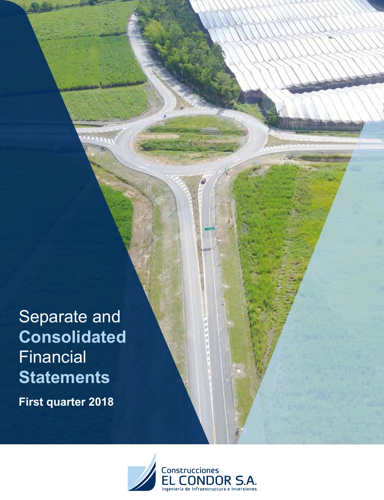Separate and **Consolidated Financial Statements**

**First quarter 2018**

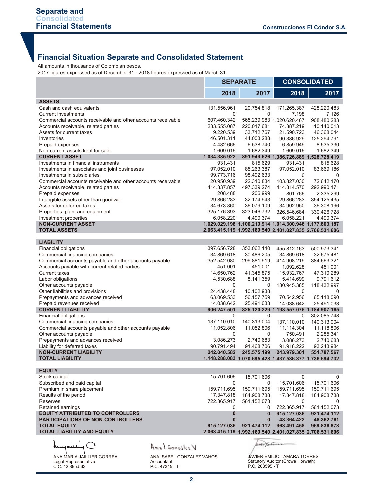# **Financial Situation Separate and Consolidated Statement**

All amounts in thousands of Colombian pesos.

2017 figures expressed as of December 31 - 2018 figures expressed as of March 31.

|                                                                 |                 |                           | <b>SEPARATE</b>             | <b>CONSOLIDATED</b>                                     |                 |  |
|-----------------------------------------------------------------|-----------------|---------------------------|-----------------------------|---------------------------------------------------------|-----------------|--|
|                                                                 |                 | 2018                      | 2017                        | 2018                                                    | 2017            |  |
| <b>ASSETS</b>                                                   |                 |                           |                             |                                                         |                 |  |
| Cash and cash equivalents                                       |                 | 131.556.961               | 20.754.818                  | 171.265.387                                             | 428.220.483     |  |
| <b>Current investments</b>                                      |                 | 0                         | $\mathbf 0$                 | 7.198                                                   | 7.126           |  |
| Commercial accounts receivable and other accounts receivable    |                 | 607.460.342               |                             | 565.239.983 1.020.620.467                               | 908.480.283     |  |
| Accounts receivable, related parties                            |                 | 233.555.087               | 220.017.681                 | 74.387.219                                              | 10.140.013      |  |
| Assets for current taxes                                        |                 | 9.220.539                 | 33.712.767                  | 21.590.723                                              | 46.368.044      |  |
| Inventories                                                     |                 | 46.501.311                | 44.003.288                  | 90.386.929                                              | 125.294.791     |  |
| Prepaid expenses                                                |                 | 4.482.666                 | 6.538.740                   | 6.859.949                                               | 8.535.330       |  |
| Non-current assets kept for sale                                |                 | 1.609.016                 | 1.682.349                   | 1.609.016                                               | 1.682.349       |  |
| <b>CURRENT ASSET</b>                                            |                 | 1.034.385.922             |                             | 891.949.626 1.386.726.889 1.528.728.419                 |                 |  |
| Investments in financial instruments                            |                 | 931.431                   | 815.629                     | 931.431                                                 | 815.628         |  |
| Investments in associates and joint businesses                  |                 | 97.052.010                | 85.263.387                  | 97.052.010                                              | 83.669.186      |  |
| Investments in subsidiaries                                     |                 | 99.773.716                | 98.492.633                  | 0                                                       | 0               |  |
| Commercial accounts receivable and other accounts receivable    |                 | 20.950.939                | 22.310.834                  | 103.827.030                                             | 72.642.170      |  |
| Accounts receivable, related parties                            |                 | 414.337.857               | 497.339.274                 | 414.314.570                                             | 292.990.171     |  |
| Prepaid expenses                                                |                 | 208.488                   | 206.999                     | 801.766                                                 | 2.335.299       |  |
| Intangible assets other than goodwill                           |                 | 29.866.283                | 32.174.943                  | 29.866.283                                              | 354.125.435     |  |
| Assets for deferred taxes                                       |                 | 34.673.860                | 36.079.109                  | 34.902.950                                              | 36.308.196      |  |
| Properties, plant and equipment                                 |                 | 325.176.393               | 323.046.732                 | 326.546.684                                             | 330.426.728     |  |
| Investment properties                                           |                 | 6.058.220                 | 4.490.374                   | 6.058.221                                               | 4.490.374       |  |
| <b>NON-CURRENT ASSET</b>                                        |                 |                           |                             | 1.029.029.198 1.100.219.914 1.014.300.946 1.177.803.187 |                 |  |
| <b>TOTAL ASSETS</b>                                             |                 |                           |                             | 2.063.415.119 1.992.169.540 2.401.027.835 2.706.531.606 |                 |  |
|                                                                 |                 |                           |                             |                                                         |                 |  |
| <b>LIABILITY</b>                                                |                 |                           |                             |                                                         |                 |  |
| Financial obligations                                           |                 | 397.656.728               | 353.062.140                 | 455.812.163                                             | 500.973.341     |  |
| Commercial financing companies                                  |                 | 34.869.618                | 30.486.205                  | 34.869.618                                              | 32.675.481      |  |
| Commercial accounts payable and other accounts payable          |                 | 352.542.080               | 299.881.919                 | 414.908.219                                             | 384.663.321     |  |
| Accounts payable with current related parties                   |                 | 451.001                   | 451.001                     | 1.092.628                                               | 451.001         |  |
| <b>Current taxes</b>                                            |                 | 14.650.762                | 41.345.875                  | 15.932.767                                              | 47.310.289      |  |
| Labor obligations                                               |                 | 4.530.688                 | 8.141.359                   | 5.414.699                                               | 9.791.612       |  |
| Other accounts payable                                          |                 | 0                         | 0                           | 180.945.385                                             | 118.432.997     |  |
| Other liabilities and provisions                                |                 | 24.438.448                | 10.102.938                  | 0                                                       | $\Omega$        |  |
| Prepayments and advances received                               |                 | 63.069.533                | 56.157.759                  | 70.542.956                                              | 65.118.090      |  |
| Prepaid revenues received                                       |                 | 14.038.642                | 25.491.033                  | 14.038.642                                              | 25.491.033      |  |
| <b>CURRENT LIABILITY</b>                                        |                 | 906.247.501               |                             | 825.120.229 1.193.557.076 1.184.907.165                 |                 |  |
| Financial obligations                                           |                 | 0                         | 0                           | 0                                                       | 302.085.748     |  |
| Commercial financing companies                                  |                 | 137.110.010               | 140.313.004                 | 137.110.010                                             | 140.313.004     |  |
| Commercial accounts payable and other accounts payable          |                 | 11.052.806                | 11.052.806                  | 11.114.304                                              | 11.118.806      |  |
| Other accounts payable                                          |                 | 0                         | 0                           | 750.491                                                 | 2.285.341       |  |
| Prepayments and advances received                               |                 | 3.086.273                 | 2.740.683                   | 3.086.273                                               | 2.740.683       |  |
| Liability for deferred taxes                                    |                 | 90.791.494                | 91.468.706                  | 91.918.222                                              | 93.243.984      |  |
| <b>NON-CURRENT LIABILITY</b>                                    |                 | 242.040.582               | 245.575.199                 | 243.979.301                                             | 551.787.567     |  |
| TOTAL LIABILITY                                                 |                 |                           |                             |                                                         |                 |  |
| <b>EQUITY</b>                                                   |                 |                           |                             |                                                         |                 |  |
|                                                                 |                 | 15.701.606                | 15.701.606                  | 0                                                       |                 |  |
| Stock capital<br>Subscribed and paid capital                    |                 | 0                         | 0                           | 15.701.606                                              | 0<br>15.701.606 |  |
| Premium in share placement                                      |                 |                           |                             |                                                         |                 |  |
|                                                                 |                 | 159.711.695<br>17.347.818 | 159.711.695                 | 159.711.695                                             | 159.711.695     |  |
| Results of the period<br>Reserves                               |                 |                           | 184.908.738                 | 17.347.818                                              | 184.908.738     |  |
|                                                                 |                 | 722.365.917               | 561.152.073                 | 0                                                       | $\Omega$        |  |
| Retained earnings<br><b>EQUITY ATTRIBUTED TO CONTROLLERS</b>    |                 | 0<br>$\mathbf 0$          | $\Omega$                    | 722.365.917                                             | 561.152.073     |  |
|                                                                 |                 | $\mathbf{0}$              | $\mathbf{0}$                | 915.127.036                                             | 921.474.112     |  |
| <b>PARTICIPATIONS OF NON-CONTROLLERS</b><br><b>TOTAL EQUITY</b> |                 | 915.127.036               | $\mathbf{0}$<br>921.474.112 | 48.364.422<br>963.491.458                               | 48.362.761      |  |
| <b>TOTAL LIABILITY AND EQUITY</b>                               |                 |                           |                             | 2.063.415.119 1.992.169.540 2.401.027.835 2.706.531.606 | 969.836.873     |  |
|                                                                 |                 |                           |                             |                                                         |                 |  |
| سللىھە                                                          | Anal González V |                           | werthin                     |                                                         |                 |  |

ANA MARIA JAILLIER CORREA Legal Representative C.C. 42.895.563

ANA ISABEL GONZALEZ VAHOS Accountant P.C. 47345 - T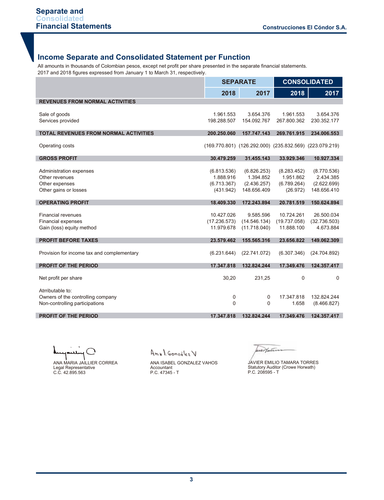## **Income Separate and Consolidated Statement per Function**

All amounts in thousands of Colombian pesos, except net profit per share presented in the separate financial statements. 2017 and 2018 figures expressed from January 1 to March 31, respectively.

|                                                                     |              | <b>SEPARATE</b>                                         | <b>CONSOLIDATED</b> |              |  |
|---------------------------------------------------------------------|--------------|---------------------------------------------------------|---------------------|--------------|--|
|                                                                     | 2018         | 2017                                                    | 2018                | 2017         |  |
| <b>REVENUES FROM NORMAL ACTIVITIES</b>                              |              |                                                         |                     |              |  |
|                                                                     | 1.961.553    | 3.654.376                                               | 1.961.553           | 3.654.376    |  |
| Sale of goods<br>Services provided                                  | 198.288.507  | 154.092.767                                             | 267.800.362         | 230.352.177  |  |
|                                                                     |              |                                                         |                     |              |  |
| <b>TOTAL REVENUES FROM NORMAL ACTIVITIES</b>                        | 200.250.060  | 157.747.143                                             | 269.761.915         | 234.006.553  |  |
| Operating costs                                                     |              | (169.770.801) (126.292.000) (235.832.569) (223.079.219) |                     |              |  |
|                                                                     |              |                                                         |                     |              |  |
| <b>GROSS PROFIT</b>                                                 | 30.479.259   | 31.455.143                                              | 33.929.346          | 10.927.334   |  |
| Administration expenses                                             | (6.813.536)  | (6.826.253)                                             | (8.283.452)         | (8.770.536)  |  |
| Other revenues                                                      | 1.888.916    | 1.394.852                                               | 1.951.862           | 2.434.385    |  |
| Other expenses                                                      | (6.713.367)  | (2.436.257)                                             | (6.789.264)         | (2.622.699)  |  |
| Other gains or losses                                               | (431.942)    | 148.656.409                                             | (26.972)            | 148.656.410  |  |
|                                                                     |              |                                                         |                     |              |  |
| <b>OPERATING PROFIT</b>                                             | 18.409.330   | 172.243.894                                             | 20.781.519          | 150.624.894  |  |
| <b>Financial revenues</b>                                           | 10.427.026   | 9.585.596                                               | 10.724.261          | 26.500.034   |  |
| Financial expenses                                                  | (17.236.573) | (14.546.134)                                            | (19.737.058)        | (32.736.503) |  |
| Gain (loss) equity method                                           | 11.979.678   | (11.718.040)                                            | 11.888.100          | 4.673.884    |  |
| <b>PROFIT BEFORE TAXES</b>                                          | 23.579.462   | 155,565,316                                             | 23.656.822          | 149.062.309  |  |
|                                                                     |              |                                                         |                     |              |  |
| Provision for income tax and complementary                          | (6.231.644)  | (22.741.072)                                            | (6.307.346)         | (24.704.892) |  |
| <b>PROFIT OF THE PERIOD</b>                                         | 17.347.818   | 132.824.244                                             | 17.349.476          | 124.357.417  |  |
|                                                                     |              |                                                         |                     |              |  |
| Net profit per share                                                | 30,20        | 231,25                                                  | 0                   | 0            |  |
|                                                                     |              |                                                         |                     |              |  |
| Atrributable to:                                                    |              | 0                                                       | 17.347.818          | 132.824.244  |  |
| Owners of the controlling company<br>Non-controlling participations | 0<br>0       | 0                                                       | 1.658               | (8.466.827)  |  |
|                                                                     |              |                                                         |                     |              |  |
| <b>PROFIT OF THE PERIOD</b>                                         | 17.347.818   | 132.824.244                                             | 17.349.476          | 124.357.417  |  |

ANA MARIA JAILLIER CORREA Legal Representative C.C. 42.895.563

Anal González V

urthurm

ANA ISABEL GONZALEZ VAHOS Accountant P.C. 47345 - T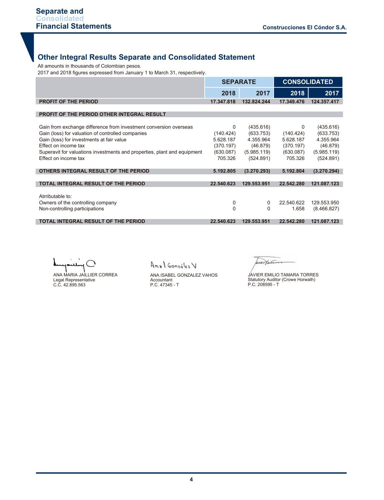#### **Other Integral Results Separate and Consolidated Statement**

All amounts in thousands of Colombian pesos.

2017 and 2018 figures expressed from January 1 to March 31, respectively.

|                                                                                                                                                                                                                                                                                                 |                                                                  | <b>SEPARATE</b>                                                             | <b>CONSOLIDATED</b>                                                     |                                                                             |  |
|-------------------------------------------------------------------------------------------------------------------------------------------------------------------------------------------------------------------------------------------------------------------------------------------------|------------------------------------------------------------------|-----------------------------------------------------------------------------|-------------------------------------------------------------------------|-----------------------------------------------------------------------------|--|
|                                                                                                                                                                                                                                                                                                 | 2018                                                             | 2017                                                                        | 2018                                                                    | 2017                                                                        |  |
| <b>PROFIT OF THE PERIOD</b>                                                                                                                                                                                                                                                                     | 17.347.818                                                       | 132.824.244                                                                 | 17.349.476                                                              | 124.357.417                                                                 |  |
| <b>PROFIT OF THE PERIOD OTHER INTEGRAL RESULT</b>                                                                                                                                                                                                                                               |                                                                  |                                                                             |                                                                         |                                                                             |  |
| Gain from exchange difference from investment conversion overseas<br>Gain (loss) for valuation of controlled companies<br>Gain (loss) for investments at fair value<br>Effect on income tax<br>Superavit for valuations investments and properties, plant and equipment<br>Effect on income tax | 0<br>(140.424)<br>5.628.187<br>(370.197)<br>(630.087)<br>705.326 | (435.616)<br>(633.753)<br>4.355.964<br>(46.879)<br>(5.985.119)<br>(524.891) | $\Omega$<br>(140.424)<br>5.628.187<br>(370.197)<br>(630.087)<br>705.326 | (435.616)<br>(633.753)<br>4.355.964<br>(46.879)<br>(5.985.119)<br>(524.891) |  |
| OTHERS INTEGRAL RESULT OF THE PERIOD                                                                                                                                                                                                                                                            | 5.192.805                                                        | (3.270.293)                                                                 | 5.192.804                                                               | (3.270.294)                                                                 |  |
| <b>TOTAL INTEGRAL RESULT OF THE PERIOD</b>                                                                                                                                                                                                                                                      | 22.540.623                                                       | 129.553.951                                                                 | 22.542.280                                                              | 121.087.123                                                                 |  |
| Atrributable to:<br>Owners of the controlling company<br>Non-controlling participations                                                                                                                                                                                                         | 0<br>$\mathbf 0$                                                 | 0<br>0                                                                      | 22.540.622<br>1.658                                                     | 129.553.950<br>(8.466.827)                                                  |  |
| TOTAL INTEGRAL RESULT OF THE PERIOD                                                                                                                                                                                                                                                             | 22.540.623                                                       | 129.553.951                                                                 | 22.542.280                                                              | 121.087.123                                                                 |  |

ANA MARIA JAILLIER CORREA Legal Representative C.C. 42.895.563

Anal González V

ANA ISABEL GONZALEZ VAHOS Accountant P.C. 47345 - T

wer Hain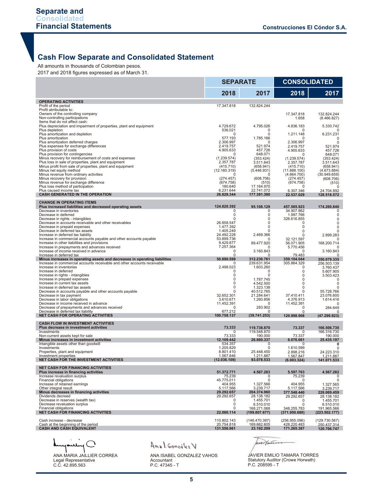## **Cash Flow Separate and Consolidated Statement**

All amounts in thousands of Colombian pesos.

2017 and 2018 figures expressed as of March 31.

|                                                                                                          | <b>SEPARATE</b>           |                              | <b>CONSOLIDATED</b>          |                              |
|----------------------------------------------------------------------------------------------------------|---------------------------|------------------------------|------------------------------|------------------------------|
|                                                                                                          | 2018                      | 2017                         | 2018                         | 2017                         |
| <b>OPERATING ACTIVITIES</b><br>Profit of the period                                                      | 17.347.818                | 132.824.244                  |                              |                              |
| Profit atrributable to:                                                                                  |                           |                              |                              |                              |
| Owners of the controlling company<br>Non-controlling participations                                      |                           |                              | 17.347.818<br>1.658          | 132.824.244<br>(8.466.827)   |
| Items that do not affect cash:<br>Plus depreciation and impairment of properties, plant and equipment    | 4.729.672                 | 4.795.026                    |                              |                              |
| Plus depletion                                                                                           | 536.021                   | 0                            | 4.836.183                    | 5.330.742<br>n               |
| Plus amortization and depletion<br>Plus amortization                                                     | 0<br>577.193              | $\mathbf 0$<br>1.785.166     | 1.211.148<br><sup>0</sup>    | 6.231.231<br>0               |
| Plus amortization deferred charges                                                                       | 2.306.997<br>2.419.757    | O                            | 2.306.997                    | 0                            |
| Plus expenses for exchange differences<br>Plus provision of costs                                        | 4.905.633                 | 521.974<br>457.726           | 2.419.757<br>4.905.633       | 521.974<br>457.726           |
| Plus provision for contingencies<br>Minus recovery for reimbursement of costs and expenses               | $\Omega$<br>(1.239.574)   | 648.071<br>(353.424)         | <sup>0</sup><br>(1.239.574)  | 648.071<br>(353.424)         |
| Plus loss in sale of properties, plant and equipment                                                     | 2.357.787                 | 3.511.643                    | 2.357.787                    | 3.511.643                    |
| Minus profit from sale of properties, plant and equipment<br>Minus net equity method                     | (415.710)<br>(12.160.319) | (658.941)<br>(5.446.931)     | (415.710)<br>(11.888.100)    | (658.941)<br>(4.673.884)     |
| Minus revenue from ordinary activities<br>Minus recovery for provision                                   | (274.457)                 | (608.706)                    | (4.664.700)<br>(274.457)     | (30.949.659)<br>(608.706)    |
| Minus revenue for exchange difference                                                                    | (674.758)                 | (510)                        | (674.758)                    | (510)                        |
| Plus loss method of participation<br>Plus caused income tax                                              | 180.640<br>6.231.644      | 17.164.970<br>22.741.072     | O<br>6.307.346               | 0<br>24.704.892              |
| <b>CASH GENERATED IN THE OPERATION</b>                                                                   | 26.828.344                | 177.381.380                  | 22.537.029                   | 128.518.572                  |
| <b>CHANGE IN OPERATING ITEMS</b><br>Plus increased liabilities and decreased operating assets            | 124.820.392               | 95.108.129                   | 457.565.923                  |                              |
| Decrease in inventories                                                                                  | 0                         | 0                            | 34.907.862                   | 174.260.840<br>0             |
| Decrease in deferred<br>Decrease in rights - intangibles                                                 | 0<br>0                    | $\mathbf 0$<br>$\mathbf 0$   | 1.997.766<br>326.616.855     | 0<br>0                       |
| Decrease in accounts receivable and other receivables                                                    | 26.858.547                | $\mathbf 0$                  | $\Omega$                     | 0                            |
| Decrease in prepaid expenses<br>Decrease in deferred tax assets                                          | 1.477.392<br>1.405.249    | $\Omega$<br>0                | $\mathbf 0$<br>0             | 0<br>0                       |
| Increase in deferred tax liability<br>Increase in commercial accounts payable and other accounts payable | 24.492.228<br>53.899.736  | 2.469.366                    | O<br>32.121.597              | 2.899.283                    |
| Increase in other liabilities and provisions                                                             | 9.429.877                 | 89.477.920                   | 56.071.905                   | 168.200.714                  |
| Increase in prepayments and advances received<br>Increase of income received in advance                  | 7.257.364<br>0            | O<br>3.160.843               | 5.770.456<br>0               | 0<br>3.160.843               |
| Increase in deferred tax<br>Minus increases in operating assets and decreases in operating liabilities   | $\Omega$<br>50.890.599    | O<br>312.230.761             | 79.483<br>359.104.044        | 0<br>350.079.335             |
| Increase in commercial accounts receivable and other accounts receivable                                 | 0                         | 239.631.954                  | 305.864.329                  | 256.503.139                  |
| Increase in inventories<br>Increase in deferred                                                          | 2.498.023<br>0            | 1.603.260<br>$\Omega$        | 0<br>$\mathbf 0$             | 3.760.437<br>5.607.905       |
| Increase in rights - intangibles<br>Increase in prepaid expenses                                         | 0<br>0                    | $\Omega$<br>1.787.745        | $\mathbf 0$<br>$\mathbf 0$   | 3.503.423<br>0               |
| Increase in current tax assets                                                                           | 0                         | 4.542.500                    | $\mathbf 0$                  | 0                            |
| Increase in deferred tax assets<br>Decrease in accounts payable and other accounts payable               | 0<br><sup>0</sup>         | 1.323.138<br>40.512.765      | $\mathbf 0$<br>O             | O<br>55.728.766              |
| Decrease in tax payment<br>Decrease in labor obligations                                                 | 32.652.301<br>3.610.671   | 21.284.641<br>1.260.856      | 37.410.411<br>4.376.913      | 23.076.600<br>1.614.416      |
| Decrease in income received in advance                                                                   | 11.452.391                | $\Omega$                     | 11.452.391                   | n                            |
| Decrease of prepayments and advances received<br>Decrease in deferred tax liability                      | 0<br>677.212              | 283.902<br>O                 | 0<br>O                       | 284.649<br>O                 |
| <b>NET CASH FOR OPERATING ACTIVITIES</b>                                                                 | 100.758.137               | (39.741.253)                 | 120.998.908                  | (47.299.923)                 |
| <b>CASH FLOW IN INVESTMENT ACTIVITIES</b>                                                                |                           |                              |                              |                              |
| Plus decrease in investment activities<br>Investments                                                    | 73.333<br>$\Omega$        | 119.738.870<br>119.548.870   | 73.337<br>0                  | 166.506.730<br>166.316.730   |
| Non-current assets kept for sale<br>Minus increases in investment activities                             | 73.333<br>12.109.442      | 190.000<br>26.660.337        | 73.337<br>6.076.661          | 190.000<br>25.435.197        |
| Intangible assets other than goodwill                                                                    | 534.357                   | $\overline{0}$               | 0                            | $\Omega$                     |
| Investments<br>Properties, plant and equipment                                                           | 1.205.829<br>8.801.410    | 0<br>25.448.450              | 1.610.599<br>2.898.216       | 24.223.310                   |
| Investment properties<br>NET CASH FOR THE INVESTMENT ACTIVITIES                                          | 1.567.846<br>(12.036.109) | 1.211.887<br>93.078.533      | 1.567.847<br>(6.003.324)     | 1.211.887<br>141.071.533     |
|                                                                                                          |                           |                              |                              |                              |
| <b>NET CASH FOR FINANCING ACTIVITIES</b><br>Plus increase in financing activities                        | 51.372.771                | 4.567.283                    | 5.597.763                    | 4.567.282                    |
| Increase revaluation surplus<br>Financial obligations                                                    | 75.239<br>45.775.011      | 0<br>0                       | 75.239<br>0                  | 0<br>0                       |
| Increase of retained earnings                                                                            | 404.955<br>5.117.566      | 1.327.566                    | 404.955                      | 1.327.565                    |
| Other integral result<br>Minus decreases in financing activities                                         | 29.292.657                | 3.239.717<br>204.374.960     | 5.117.566<br>377.548.440     | 3.239.717<br>228.069.459     |
| Dividends decreed<br>Decrease in reserves (wealth tax)                                                   | 29.292.657<br>0           | 28.138.182<br>1.455.701      | 29.292.657<br>0              | 28.138.182<br>1.455.701      |
| Decrease revaluation surplus                                                                             | 0                         | 6.510.010                    | 0                            | 6.510.010                    |
| Financial obligations<br><b>NET CASH FOR FINANCING ACTIVITIES</b>                                        | 0<br>22.080.114           | 168.271.068<br>(199.807.677) | 348.255.783<br>(371.950.680) | 191.965.566<br>(223.502.177) |
| Cash increase - decrease                                                                                 | 110.802.143               | (146.470.397)                | (256.955.096)                | (129.730.567)                |
| Cash at the beginning of the period<br><b>CASH AND CASH EQUIVALENT</b>                                   | 20.754.818<br>131.556.961 | 169.662.605<br>23.192.209    | 428.220.483<br>171.265.387   | 250.437.314<br>120.706.747   |
|                                                                                                          |                           |                              |                              |                              |

ANA MARIA JAILLIER CORREA Legal Representative C.C. 42.895.563

Anal González V

ANA ISABEL GONZALEZ VAHOS Accountant P.C. 47345 - T

worthern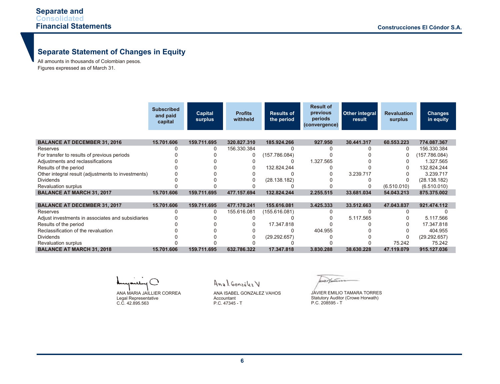# **Separate Statement of Changes in Equity**

All amounts in thousands of Colombian pesos. Figures expressed as of March 31.

|                                                    | <b>Subscribed</b><br>and paid<br>capital | <b>Capital</b><br>surplus | <b>Profits</b><br>withheld | <b>Results of</b><br>the period | <b>Result of</b><br>previous<br>periods<br>(convergence) | Other integral<br>result | <b>Revaluation</b><br>surplus | <b>Changes</b><br>in equity |
|----------------------------------------------------|------------------------------------------|---------------------------|----------------------------|---------------------------------|----------------------------------------------------------|--------------------------|-------------------------------|-----------------------------|
|                                                    |                                          |                           |                            |                                 |                                                          |                          |                               |                             |
| <b>BALANCE AT DECEMBER 31, 2016</b>                | 15.701.606                               | 159.711.695               | 320.827.310                | 185.924.266                     | 927.950                                                  | 30.441.317               | 60.553.223                    | 774.087.367                 |
| Reserves                                           |                                          | 0                         | 156.330.384                |                                 |                                                          |                          | 0                             | 156.330.384                 |
| For transfer to results of previous periods        |                                          |                           |                            | (157.786.084)                   |                                                          |                          | 0                             | (157.786.084)               |
| Adjustments and reclassifications                  |                                          |                           |                            |                                 | 1.327.565                                                |                          |                               | 1.327.565                   |
| Results of the period                              |                                          |                           |                            | 132.824.244                     |                                                          |                          |                               | 132.824.244                 |
| Other integral result (adjustments to investments) |                                          |                           |                            |                                 |                                                          | 3.239.717                |                               | 3.239.717                   |
| <b>Dividends</b>                                   |                                          |                           |                            | (28.138.182)                    |                                                          |                          | 0                             | (28.138.182)                |
| Revaluation surplus                                |                                          |                           |                            |                                 |                                                          |                          | (6.510.010)                   | (6.510.010)                 |
| <b>BALANCE AT MARCH 31, 2017</b>                   | 15.701.606                               | 159.711.695               | 477.157.694                | 132.824.244                     | 2.255.515                                                | 33.681.034               | 54.043.213                    | 875.375.002                 |
|                                                    |                                          |                           |                            |                                 |                                                          |                          |                               |                             |
| <b>BALANCE AT DECEMBER 31, 2017</b>                | 15.701.606                               | 159.711.695               | 477.170.241                | 155.616.081                     | 3.425.333                                                | 33.512.663               | 47.043.837                    | 921.474.112                 |
| Reserves                                           |                                          | 0                         | 155.616.081                | (155.616.081)                   |                                                          |                          |                               |                             |
| Adjust investments in associates and subsidiaries  |                                          |                           |                            |                                 |                                                          | 5.117.565                |                               | 5.117.566                   |
| Results of the period                              |                                          |                           |                            | 17.347.818                      |                                                          |                          |                               | 17.347.818                  |
| Reclassification of the revaluation                |                                          |                           |                            |                                 | 404.955                                                  |                          |                               | 404.955                     |
| <b>Dividends</b>                                   |                                          |                           |                            | (29.292.657)                    |                                                          |                          |                               | (29.292.657)                |
| <b>Revaluation surplus</b>                         |                                          |                           |                            |                                 |                                                          |                          | 75.242                        | 75.242                      |
| <b>BALANCE AT MARCH 31, 2018</b>                   | 15.701.606                               | 159.711.695               | 632.786.322                | 17.347.818                      | 3.830.288                                                | 38.630.228               | 47.119.079                    | 915.127.036                 |

ា ANA MARIA JAILLIER CORREA Legal Representative C.C. 42.895.563

Anal González V

ANA ISABEL GONZALEZ VAHOS Accountant P.C. 47345 - T

wer Hain

JAVIER EMILIO TAMARA TORRES Statutory Auditor (Crowe Horwath) P.C. 208595 - T